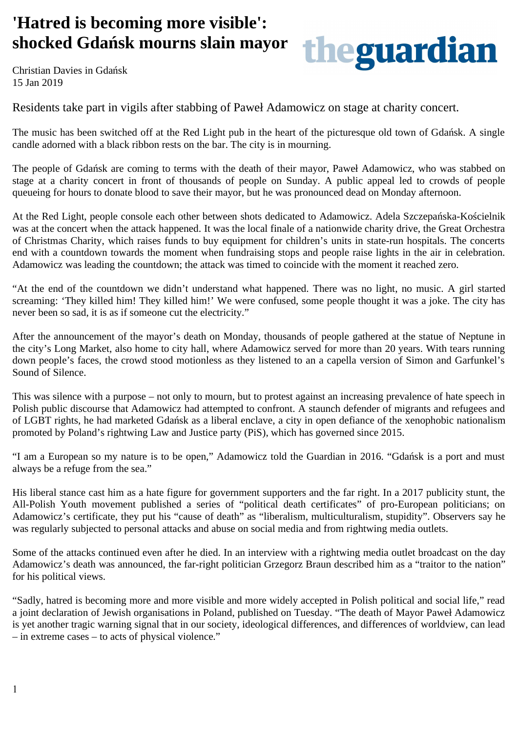## 'Hatred is becoming more visible': shocked Gdańsk mourns slain mayor



Christian Davies in Gdańsk 15 Jan 2019

Residents take part in vigils after stabbing of Paweł Adamowicz on stage at charity concert.

The music has been switched off at the Red Light pub in the heart of the picturesque old town of Gdańsk. A single candle adorned with a black ribbon rests on the bar. The city is in mourning.

The people of Gdańsk are coming to terms with the death of their mayor, Paweł Adamowicz, who was stabbed on stage at a charity concert in front of thousands of people on Sunday. A public appeal led to crowds of people queueing for hours to donate blood to save their mayor, but he was pronounced dead on Monday afternoon.

At the Red Light, people console each other between shots dedicated to Adamowicz. Adela Szczepańska-Kościelnik was at the concert when the attack happened. It was the local finale of a nationwide charity drive, the Great Orchestra of Christmas Charity, which raises funds to buy equipment for children's units in state-run hospitals. The concerts end with a countdown towards the moment when fundraising stops and people raise lights in the air in celebration. Adamowicz was leading the countdown; the attack was timed to coincide with the moment it reached zero.

"At the end of the countdown we didn't understand what happened. There was no light, no music. A girl started screaming: 'They killed him! They killed him!' We were confused, some people thought it was a joke. The city has never been so sad, it is as if someone cut the electricity."

After the announcement of the mayor's death on Monday, thousands of people gathered at the statue of Neptune in the city's Long Market, also home to city hall, where Adamowicz served for more than 20 years. With tears running down people's faces, the crowd stood motionless as they listened to an a capella version of Simon and Garfunkel's Sound of Silence.

This was silence with a purpose – not only to mourn, but to protest against an increasing prevalence of hate speech in Polish public discourse that Adamowicz had attempted to confront. A staunch defender of migrants and refugees and of LGBT rights, he had marketed Gdańsk as a liberal enclave, a city in open defiance of the xenophobic nationalism promoted by Poland's rightwing Law and Justice party (PiS), which has governed since 2015.

"I am a European so my nature is to be open," Adamowicz told the Guardian in 2016. "Gdańsk is a port and must always be a refuge from the sea."

His liberal stance cast him as a hate figure for government supporters and the far right. In a 2017 publicity stunt, the All-Polish Youth movement published a series of "political death certificates" of pro-European politicians; on Adamowicz's certificate, they put his "cause of death" as "liberalism, multiculturalism, stupidity". Observers say he was regularly subjected to personal attacks and abuse on social media and from rightwing media outlets.

Some of the attacks continued even after he died. In an interview with a rightwing media outlet broadcast on the day Adamowicz's death was announced, the far-right politician Grzegorz Braun described him as a "traitor to the nation" for his political views.

"Sadly, hatred is becoming more and more visible and more widely accepted in Polish political and social life," read a joint declaration of Jewish organisations in Poland, published on Tuesday. "The death of Mayor Paweł Adamowicz is yet another tragic warning signal that in our society, ideological differences, and differences of worldview, can lead – in extreme cases – to acts of physical violence."